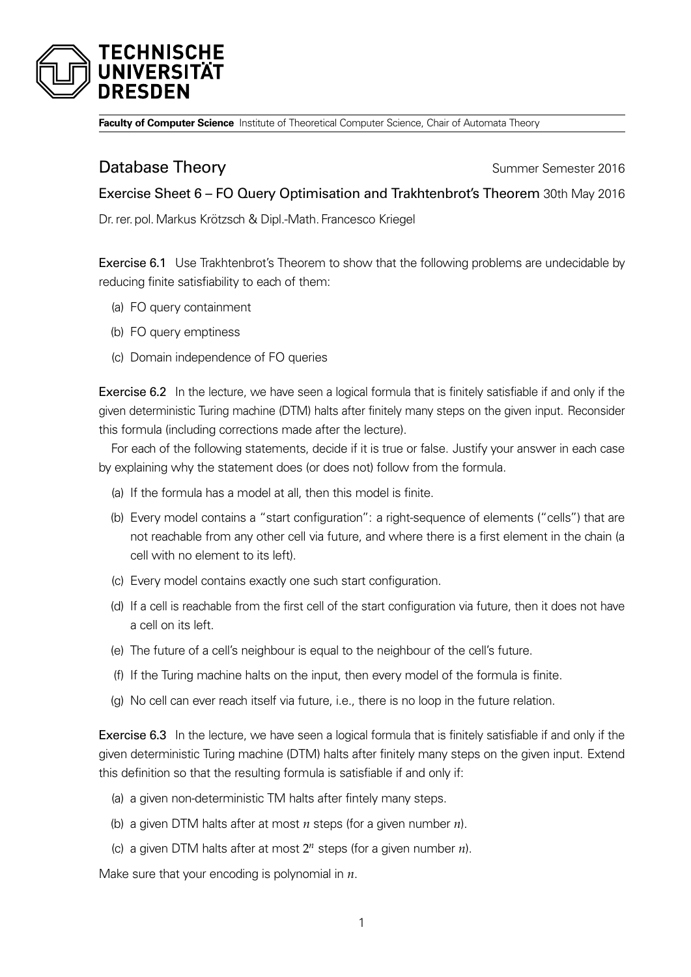

**Faculty of Computer Science** Institute of Theoretical Computer Science, Chair of Automata Theory

## **Database Theory Summer Semester 2016**

Exercise Sheet 6 – FO Query Optimisation and Trakhtenbrot's Theorem 30th May 2016

Dr. rer. pol.Markus Krötzsch & Dipl.-Math. Francesco Kriegel

Exercise 6.1 Use Trakhtenbrot's Theorem to show that the following problems are undecidable by reducing finite satisfiability to each of them:

- (a) FO query containment
- (b) FO query emptiness
- (c) Domain independence of FO queries

Exercise 6.2 In the lecture, we have seen a logical formula that is finitely satisfiable if and only if the given deterministic Turing machine (DTM) halts after finitely many steps on the given input. Reconsider this formula (including corrections made after the lecture).

For each of the following statements, decide if it is true or false. Justify your answer in each case by explaining why the statement does (or does not) follow from the formula.

- (a) If the formula has a model at all, then this model is finite.
- (b) Every model contains a "start configuration": a right-sequence of elements ("cells") that are not reachable from any other cell via future, and where there is a first element in the chain (a cell with no element to its left).
- (c) Every model contains exactly one such start configuration.
- (d) If a cell is reachable from the first cell of the start configuration via future, then it does not have a cell on its left.
- (e) The future of a cell's neighbour is equal to the neighbour of the cell's future.
- (f) If the Turing machine halts on the input, then every model of the formula is finite.
- (g) No cell can ever reach itself via future, i.e., there is no loop in the future relation.

Exercise 6.3 In the lecture, we have seen a logical formula that is finitely satisfiable if and only if the given deterministic Turing machine (DTM) halts after finitely many steps on the given input. Extend this definition so that the resulting formula is satisfiable if and only if:

- (a) a given non-deterministic TM halts after fintely many steps.
- (b) a given DTM halts after at most *n* steps (for a given number *n*).
- (c) a given DTM halts after at most  $2^n$  steps (for a given number  $n$ ).

Make sure that your encoding is polynomial in *n*.